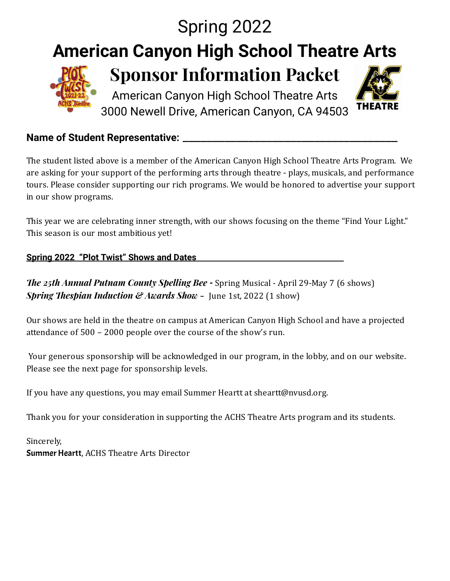## Spring 2022 **American Canyon High School Theatre Arts Sponsor Information Packet** American Canyon High School Theatre Arts **THEATRE** 3000 Newell Drive, American Canyon, CA 94503

#### **Name of Student Representative:** \_\_\_\_\_\_\_\_\_\_\_\_\_\_\_\_\_\_\_\_\_\_\_\_\_\_\_\_\_\_\_\_\_\_\_\_

The student listed above is a member of the American Canyon High School Theatre Arts Program. We are asking for your support of the performing arts through theatre - plays, musicals, and performance tours. Please consider supporting our rich programs. We would be honored to advertise your support in our show programs.

This year we are celebrating inner strength, with our shows focusing on the theme "Find Your Light." This season is our most ambitious yet!

#### **Spring 2022 "Plot Twist" Shows and Dates**

*e 25th Annual Putnam County Spelling Bee -* Spring Musical - April 29-May 7 (6 shows) *Spring Thespian Induction* & *Awards Show* - June 1st, 2022 (1 show)

Our shows are held in the theatre on campus at American Canyon High School and have a projected attendance of 500 – 2000 people over the course of the show's run.

Your generous sponsorship will be acknowledged in our program, in the lobby, and on our website. Please see the next page for sponsorship levels.

If you have any questions, you may email Summer Heartt at sheartt@nvusd.org.

Thank you for your consideration in supporting the ACHS Theatre Arts program and its students.

Sincerely, Summer Heartt, ACHS Theatre Arts Director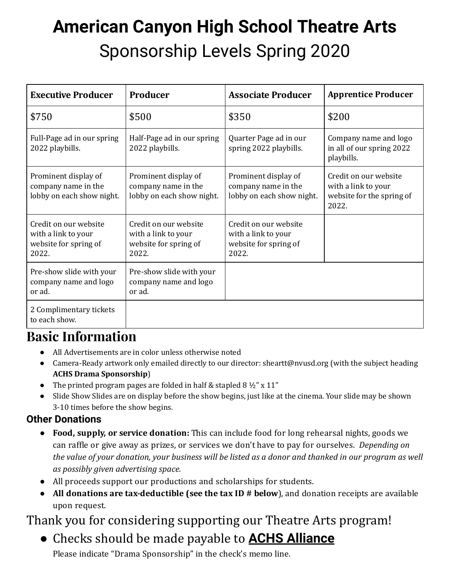# **American Canyon High School Theatre Arts** Sponsorship Levels Spring 2020

| <b>Executive Producer</b>                                                      | Producer                                                                       | <b>Associate Producer</b>                                                      | <b>Apprentice Producer</b>                                                         |
|--------------------------------------------------------------------------------|--------------------------------------------------------------------------------|--------------------------------------------------------------------------------|------------------------------------------------------------------------------------|
| \$750                                                                          | \$500                                                                          | \$350                                                                          | \$200                                                                              |
| Full-Page ad in our spring<br>2022 playbills.                                  | Half-Page ad in our spring<br>2022 playbills.                                  | Quarter Page ad in our<br>spring 2022 playbills.                               | Company name and logo<br>in all of our spring 2022<br>playbills.                   |
| Prominent display of<br>company name in the<br>lobby on each show night.       | Prominent display of<br>company name in the<br>lobby on each show night.       | Prominent display of<br>company name in the<br>lobby on each show night.       | Credit on our website<br>with a link to your<br>website for the spring of<br>2022. |
| Credit on our website<br>with a link to your<br>website for spring of<br>2022. | Credit on our website<br>with a link to your<br>website for spring of<br>2022. | Credit on our website<br>with a link to your<br>website for spring of<br>2022. |                                                                                    |
| Pre-show slide with your<br>company name and logo<br>or ad.                    | Pre-show slide with your<br>company name and logo<br>or ad.                    |                                                                                |                                                                                    |
| 2 Complimentary tickets<br>to each show.                                       |                                                                                |                                                                                |                                                                                    |

# **Basic Information**

- All Advertisements are in color unless otherwise noted
- Camera-Ready artwork only emailed directly to our director: sheartt@nvusd.org (with the subject heading **ACHS Drama Sponsorship**)
- The printed program pages are folded in half & stapled 8  $1/2$ " x 11"
- Slide Show Slides are on display before the show begins, just like at the cinema. Your slide may be shown 3-10 times before the show begins.

#### **Other Donations**

- **● Food, supply, or service donation:** This can include food for long rehearsal nights, goods we can raffle or give away as prizes, or services we don't have to pay for ourselves. *Depending on the* value of your donation, your business will be listed as a donor and thanked in our program as well *as possibly given advertising space.*
- **●** All proceeds support our productions and scholarships for students.
- **● All donations are tax-deductible (see the tax ID # below**), and donation receipts are available upon request.

## Thank you for considering supporting our Theatre Arts program!

● Checks should be made payable to **ACHS Alliance** Please indicate "Drama Sponsorship" in the check's memo line.